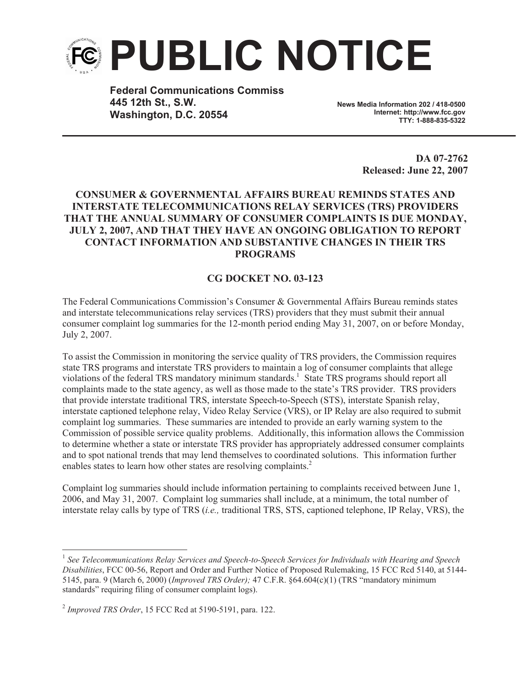

**Federal Communications Commiss 445 12th St., S.W. Washington, D.C. 20554**

**News Media Information 202 / 418-0500 Internet: http://www.fcc.gov TTY: 1-888-835-5322**

> **DA 07-2762 Released: June 22, 2007**

## **CONSUMER & GOVERNMENTAL AFFAIRS BUREAU REMINDS STATES AND INTERSTATE TELECOMMUNICATIONS RELAY SERVICES (TRS) PROVIDERS THAT THE ANNUAL SUMMARY OF CONSUMER COMPLAINTS IS DUE MONDAY, JULY 2, 2007, AND THAT THEY HAVE AN ONGOING OBLIGATION TO REPORT CONTACT INFORMATION AND SUBSTANTIVE CHANGES IN THEIR TRS PROGRAMS**

## **CG DOCKET NO. 03-123**

The Federal Communications Commission's Consumer & Governmental Affairs Bureau reminds states and interstate telecommunications relay services (TRS) providers that they must submit their annual consumer complaint log summaries for the 12-month period ending May 31, 2007, on or before Monday, July 2, 2007.

To assist the Commission in monitoring the service quality of TRS providers, the Commission requires state TRS programs and interstate TRS providers to maintain a log of consumer complaints that allege violations of the federal TRS mandatory minimum standards.<sup>1</sup> State TRS programs should report all complaints made to the state agency, as well as those made to the state's TRS provider. TRS providers that provide interstate traditional TRS, interstate Speech-to-Speech (STS), interstate Spanish relay, interstate captioned telephone relay, Video Relay Service (VRS), or IP Relay are also required to submit complaint log summaries. These summaries are intended to provide an early warning system to the Commission of possible service quality problems. Additionally, this information allows the Commission to determine whether a state or interstate TRS provider has appropriately addressed consumer complaints and to spot national trends that may lend themselves to coordinated solutions. This information further enables states to learn how other states are resolving complaints.<sup>2</sup>

Complaint log summaries should include information pertaining to complaints received between June 1, 2006, and May 31, 2007. Complaint log summaries shall include, at a minimum, the total number of interstate relay calls by type of TRS (*i.e.,* traditional TRS, STS, captioned telephone, IP Relay, VRS), the

<sup>1</sup> *See Telecommunications Relay Services and Speech-to-Speech Services for Individuals with Hearing and Speech Disabilities*, FCC 00-56, Report and Order and Further Notice of Proposed Rulemaking, 15 FCC Rcd 5140, at 5144- 5145, para. 9 (March 6, 2000) (*Improved TRS Order);* 47 C.F.R. §64.604(c)(1) (TRS "mandatory minimum standards" requiring filing of consumer complaint logs).

<sup>2</sup> *Improved TRS Order*, 15 FCC Rcd at 5190-5191, para. 122.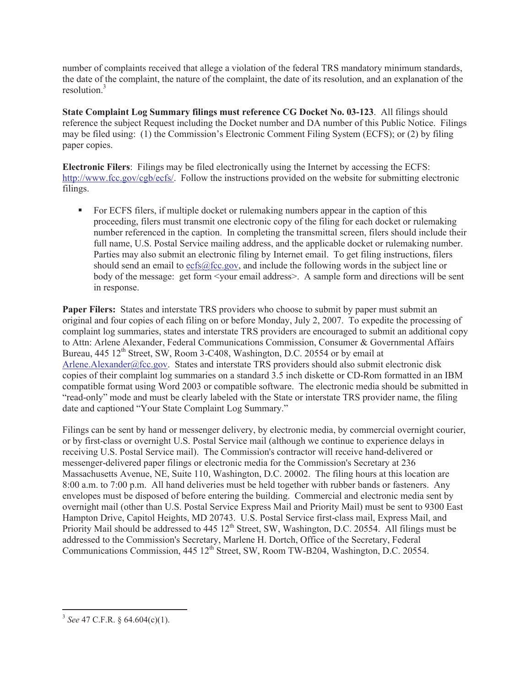number of complaints received that allege a violation of the federal TRS mandatory minimum standards, the date of the complaint, the nature of the complaint, the date of its resolution, and an explanation of the resolution $3$ 

**State Complaint Log Summary filings must reference CG Docket No. 03-123**. All filings should reference the subject Request including the Docket number and DA number of this Public Notice. Filings may be filed using: (1) the Commission's Electronic Comment Filing System (ECFS); or (2) by filing paper copies.

**Electronic Filers**: Filings may be filed electronically using the Internet by accessing the ECFS: http://www.fcc.gov/cgb/ecfs/. Follow the instructions provided on the website for submitting electronic filings.

For ECFS filers, if multiple docket or rulemaking numbers appear in the caption of this proceeding, filers must transmit one electronic copy of the filing for each docket or rulemaking number referenced in the caption. In completing the transmittal screen, filers should include their full name, U.S. Postal Service mailing address, and the applicable docket or rulemaking number. Parties may also submit an electronic filing by Internet email. To get filing instructions, filers should send an email to ecfs@fcc.gov, and include the following words in the subject line or body of the message: get form <your email address>. A sample form and directions will be sent in response.

**Paper Filers:** States and interstate TRS providers who choose to submit by paper must submit an original and four copies of each filing on or before Monday, July 2, 2007. To expedite the processing of complaint log summaries, states and interstate TRS providers are encouraged to submit an additional copy to Attn: Arlene Alexander, Federal Communications Commission, Consumer & Governmental Affairs Bureau, 445 12<sup>th</sup> Street, SW, Room 3-C408, Washington, D.C. 20554 or by email at Arlene. Alexander@fcc.gov. States and interstate TRS providers should also submit electronic disk copies of their complaint log summaries on a standard 3.5 inch diskette or CD-Rom formatted in an IBM compatible format using Word 2003 or compatible software. The electronic media should be submitted in "read-only" mode and must be clearly labeled with the State or interstate TRS provider name, the filing date and captioned "Your State Complaint Log Summary."

Filings can be sent by hand or messenger delivery, by electronic media, by commercial overnight courier, or by first-class or overnight U.S. Postal Service mail (although we continue to experience delays in receiving U.S. Postal Service mail). The Commission's contractor will receive hand-delivered or messenger-delivered paper filings or electronic media for the Commission's Secretary at 236 Massachusetts Avenue, NE, Suite 110, Washington, D.C. 20002. The filing hours at this location are 8:00 a.m. to 7:00 p.m. All hand deliveries must be held together with rubber bands or fasteners. Any envelopes must be disposed of before entering the building. Commercial and electronic media sent by overnight mail (other than U.S. Postal Service Express Mail and Priority Mail) must be sent to 9300 East Hampton Drive, Capitol Heights, MD 20743. U.S. Postal Service first-class mail, Express Mail, and Priority Mail should be addressed to 445 12<sup>th</sup> Street, SW, Washington, D.C. 20554. All filings must be addressed to the Commission's Secretary, Marlene H. Dortch, Office of the Secretary, Federal Communications Commission, 445 12<sup>th</sup> Street, SW, Room TW-B204, Washington, D.C. 20554.

<sup>3</sup> *See* 47 C.F.R. § 64.604(c)(1).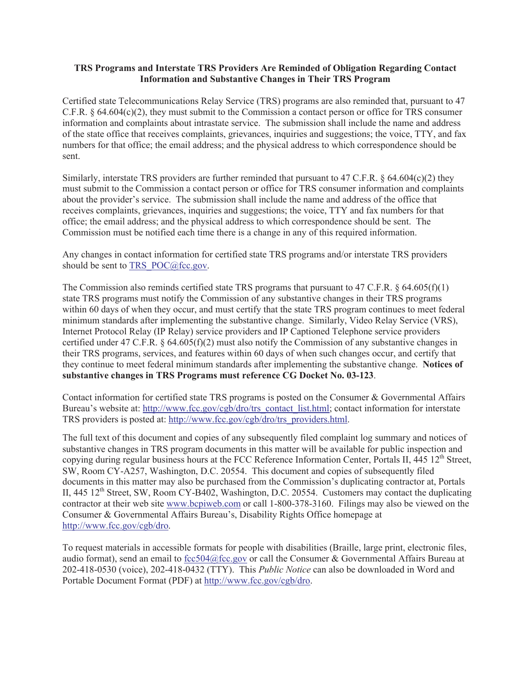## **TRS Programs and Interstate TRS Providers Are Reminded of Obligation Regarding Contact Information and Substantive Changes in Their TRS Program**

Certified state Telecommunications Relay Service (TRS) programs are also reminded that, pursuant to 47 C.F.R.  $\S$  64.604(c)(2), they must submit to the Commission a contact person or office for TRS consumer information and complaints about intrastate service. The submission shall include the name and address of the state office that receives complaints, grievances, inquiries and suggestions; the voice, TTY, and fax numbers for that office; the email address; and the physical address to which correspondence should be sent.

Similarly, interstate TRS providers are further reminded that pursuant to 47 C.F.R. § 64.604(c)(2) they must submit to the Commission a contact person or office for TRS consumer information and complaints about the provider's service. The submission shall include the name and address of the office that receives complaints, grievances, inquiries and suggestions; the voice, TTY and fax numbers for that office; the email address; and the physical address to which correspondence should be sent. The Commission must be notified each time there is a change in any of this required information.

Any changes in contact information for certified state TRS programs and/or interstate TRS providers should be sent to TRS\_POC@fcc.gov.

The Commission also reminds certified state TRS programs that pursuant to 47 C.F.R.  $\S$  64.605(f)(1) state TRS programs must notify the Commission of any substantive changes in their TRS programs within 60 days of when they occur, and must certify that the state TRS program continues to meet federal minimum standards after implementing the substantive change. Similarly, Video Relay Service (VRS), Internet Protocol Relay (IP Relay) service providers and IP Captioned Telephone service providers certified under 47 C.F.R. § 64.605(f)(2) must also notify the Commission of any substantive changes in their TRS programs, services, and features within 60 days of when such changes occur, and certify that they continue to meet federal minimum standards after implementing the substantive change. **Notices of substantive changes in TRS Programs must reference CG Docket No. 03-123**.

Contact information for certified state TRS programs is posted on the Consumer & Governmental Affairs Bureau's website at: http://www.fcc.gov/cgb/dro/trs\_contact\_list.html; contact information for interstate TRS providers is posted at: http://www.fcc.gov/cgb/dro/trs\_providers.html.

The full text of this document and copies of any subsequently filed complaint log summary and notices of substantive changes in TRS program documents in this matter will be available for public inspection and copying during regular business hours at the FCC Reference Information Center, Portals II,  $445 \times 12^{th}$  Street, SW, Room CY-A257, Washington, D.C. 20554. This document and copies of subsequently filed documents in this matter may also be purchased from the Commission's duplicating contractor at, Portals II, 445 12<sup>th</sup> Street, SW, Room CY-B402, Washington, D.C. 20554. Customers may contact the duplicating contractor at their web site www.bcpiweb.com or call 1-800-378-3160. Filings may also be viewed on the Consumer & Governmental Affairs Bureau's, Disability Rights Office homepage at http://www.fcc.gov/cgb/dro.

To request materials in accessible formats for people with disabilities (Braille, large print, electronic files, audio format), send an email to fcc504@fcc.gov or call the Consumer & Governmental Affairs Bureau at 202-418-0530 (voice), 202-418-0432 (TTY). This *Public Notice* can also be downloaded in Word and Portable Document Format (PDF) at http://www.fcc.gov/cgb/dro.